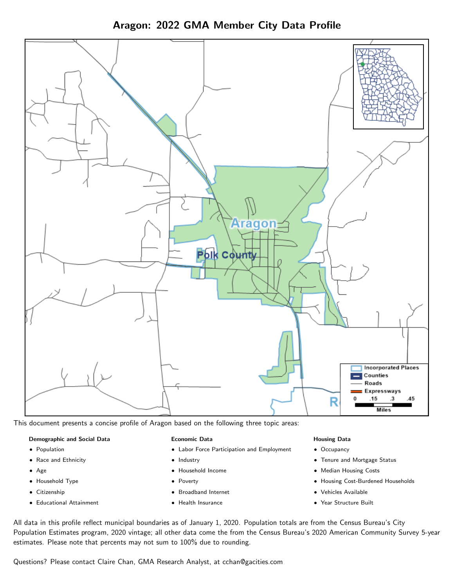Aragon: 2022 GMA Member City Data Profile



This document presents a concise profile of Aragon based on the following three topic areas:

### Demographic and Social Data

- **•** Population
- Race and Ethnicity
- Age
- Household Type
- **Citizenship**
- Educational Attainment

### Economic Data

- Labor Force Participation and Employment
- Industry
- Household Income
- Poverty
- Broadband Internet
- Health Insurance

### Housing Data

- Occupancy
- Tenure and Mortgage Status
- Median Housing Costs
- Housing Cost-Burdened Households
- Vehicles Available
- Year Structure Built

All data in this profile reflect municipal boundaries as of January 1, 2020. Population totals are from the Census Bureau's City Population Estimates program, 2020 vintage; all other data come the from the Census Bureau's 2020 American Community Survey 5-year estimates. Please note that percents may not sum to 100% due to rounding.

Questions? Please contact Claire Chan, GMA Research Analyst, at [cchan@gacities.com.](mailto:cchan@gacities.com)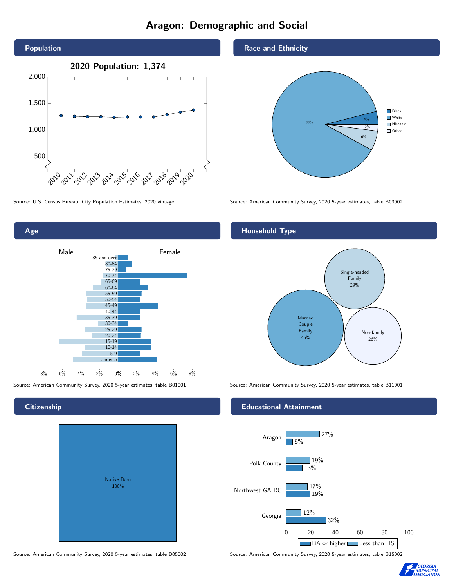# Aragon: Demographic and Social



Age 0% 2% 4% 6% 8% Male **Female** 8% 6% 4% 2% 85 and over 80-84 75-79 70-74 65-69 60-64 55-59 50-54 45-49 40-44 35-39 30-34 25-29 20-24 15-19  $10-14$ 5-9 Under 5

## **Citizenship**

| <b>Native Born</b><br>100% |  |
|----------------------------|--|
|                            |  |

## Race and Ethnicity



Source: U.S. Census Bureau, City Population Estimates, 2020 vintage Source: American Community Survey, 2020 5-year estimates, table B03002

## Household Type



Source: American Community Survey, 2020 5-year estimates, table B01001 Source: American Community Survey, 2020 5-year estimates, table B11001

## Educational Attainment



Source: American Community Survey, 2020 5-year estimates, table B05002 Source: American Community Survey, 2020 5-year estimates, table B15002

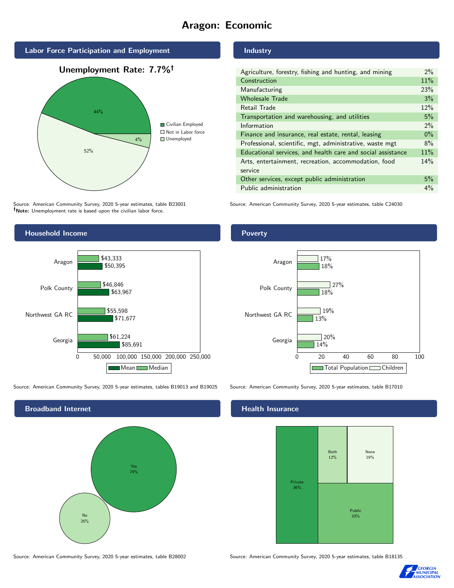# Aragon: Economic



Source: American Community Survey, 2020 5-year estimates, table B23001 Note: Unemployment rate is based upon the civilian labor force.



Source: American Community Survey, 2020 5-year estimates, tables B19013 and B19025 Source: American Community Survey, 2020 5-year estimates, table B17010

Broadband Internet No 26% Yes 74%

Industry

| Agriculture, forestry, fishing and hunting, and mining      | $2\%$ |
|-------------------------------------------------------------|-------|
| Construction                                                | 11%   |
| Manufacturing                                               | 23%   |
| <b>Wholesale Trade</b>                                      | 3%    |
| Retail Trade                                                | 12%   |
| Transportation and warehousing, and utilities               |       |
| Information                                                 | $2\%$ |
| Finance and insurance, real estate, rental, leasing         |       |
| Professional, scientific, mgt, administrative, waste mgt    |       |
| Educational services, and health care and social assistance |       |
| Arts, entertainment, recreation, accommodation, food        |       |
| service                                                     |       |
| Other services, except public administration                |       |
| Public administration                                       |       |

Source: American Community Survey, 2020 5-year estimates, table C24030

Poverty



### Health Insurance



Source: American Community Survey, 2020 5-year estimates, table B28002 Source: American Community Survey, 2020 5-year estimates, table B18135